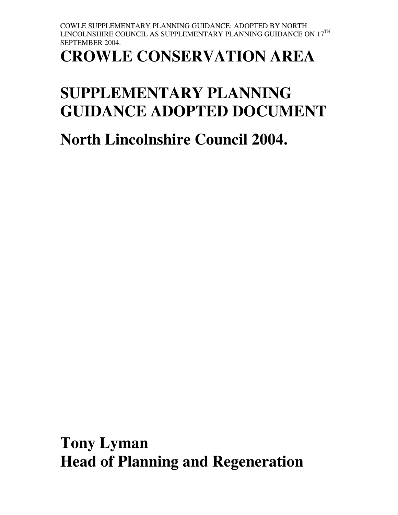# **CROWLE CONSERVATION AREA**

# **SUPPLEMENTARY PLANNING GUIDANCE ADOPTED DOCUMENT**

**North Lincolnshire Council 2004.** 

**Tony Lyman Head of Planning and Regeneration**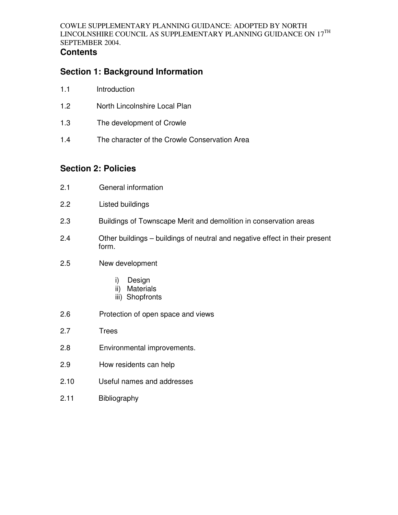## **Contents**

# **Section 1: Background Information**

- 1.1 Introduction
- 1.2 North Lincolnshire Local Plan
- 1.3 The development of Crowle
- 1.4 The character of the Crowle Conservation Area

# **Section 2: Policies**

| 2.1  | General information                                                                  |
|------|--------------------------------------------------------------------------------------|
| 2.2  | <b>Listed buildings</b>                                                              |
| 2.3  | Buildings of Townscape Merit and demolition in conservation areas                    |
| 2.4  | Other buildings – buildings of neutral and negative effect in their present<br>form. |
| 2.5  | New development                                                                      |
|      | Design<br>i)<br>ii)<br><b>Materials</b><br>iii) Shopfronts                           |
| 2.6  | Protection of open space and views                                                   |
| 2.7  | <b>Trees</b>                                                                         |
| 2.8  | Environmental improvements.                                                          |
| 2.9  | How residents can help                                                               |
| 2.10 | Useful names and addresses                                                           |
| 2.11 | <b>Bibliography</b>                                                                  |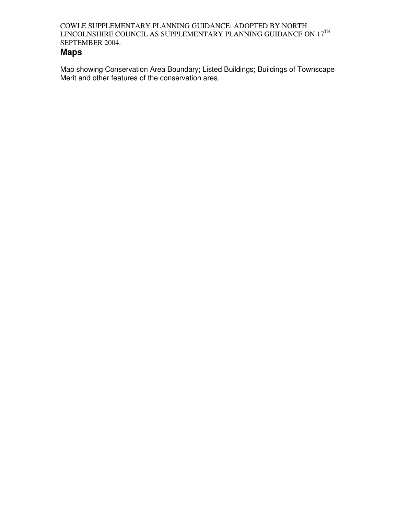## **Maps**

Map showing Conservation Area Boundary; Listed Buildings; Buildings of Townscape Merit and other features of the conservation area.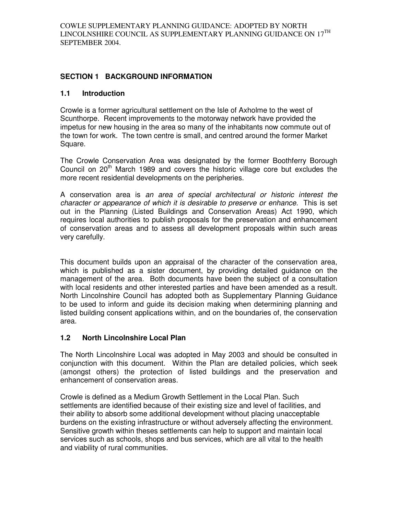## **SECTION 1 BACKGROUND INFORMATION**

## **1.1 Introduction**

Crowle is a former agricultural settlement on the Isle of Axholme to the west of Scunthorpe. Recent improvements to the motorway network have provided the impetus for new housing in the area so many of the inhabitants now commute out of the town for work. The town centre is small, and centred around the former Market Square.

The Crowle Conservation Area was designated by the former Boothferry Borough Council on  $20<sup>th</sup>$  March 1989 and covers the historic village core but excludes the more recent residential developments on the peripheries.

A conservation area is an area of special architectural or historic interest the character or appearance of which it is desirable to preserve or enhance. This is set out in the Planning (Listed Buildings and Conservation Areas) Act 1990, which requires local authorities to publish proposals for the preservation and enhancement of conservation areas and to assess all development proposals within such areas very carefully.

This document builds upon an appraisal of the character of the conservation area, which is published as a sister document, by providing detailed guidance on the management of the area. Both documents have been the subject of a consultation with local residents and other interested parties and have been amended as a result. North Lincolnshire Council has adopted both as Supplementary Planning Guidance to be used to inform and guide its decision making when determining planning and listed building consent applications within, and on the boundaries of, the conservation area.

## **1.2 North Lincolnshire Local Plan**

The North Lincolnshire Local was adopted in May 2003 and should be consulted in conjunction with this document. Within the Plan are detailed policies, which seek (amongst others) the protection of listed buildings and the preservation and enhancement of conservation areas.

Crowle is defined as a Medium Growth Settlement in the Local Plan. Such settlements are identified because of their existing size and level of facilities, and their ability to absorb some additional development without placing unacceptable burdens on the existing infrastructure or without adversely affecting the environment. Sensitive growth within theses settlements can help to support and maintain local services such as schools, shops and bus services, which are all vital to the health and viability of rural communities.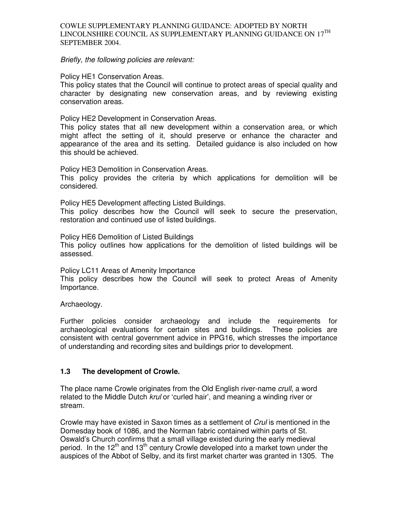Briefly, the following policies are relevant:

Policy HE1 Conservation Areas.

This policy states that the Council will continue to protect areas of special quality and character by designating new conservation areas, and by reviewing existing conservation areas.

Policy HE2 Development in Conservation Areas.

This policy states that all new development within a conservation area, or which might affect the setting of it, should preserve or enhance the character and appearance of the area and its setting. Detailed guidance is also included on how this should be achieved.

Policy HE3 Demolition in Conservation Areas.

This policy provides the criteria by which applications for demolition will be considered.

Policy HE5 Development affecting Listed Buildings.

This policy describes how the Council will seek to secure the preservation, restoration and continued use of listed buildings.

Policy HE6 Demolition of Listed Buildings

This policy outlines how applications for the demolition of listed buildings will be assessed.

Policy LC11 Areas of Amenity Importance

This policy describes how the Council will seek to protect Areas of Amenity Importance.

Archaeology.

Further policies consider archaeology and include the requirements for archaeological evaluations for certain sites and buildings. These policies are consistent with central government advice in PPG16, which stresses the importance of understanding and recording sites and buildings prior to development.

## **1.3 The development of Crowle.**

The place name Crowle originates from the Old English river-name crull, a word related to the Middle Dutch krul or 'curled hair', and meaning a winding river or stream.

Crowle may have existed in Saxon times as a settlement of Crul is mentioned in the Domesday book of 1086, and the Norman fabric contained within parts of St. Oswald's Church confirms that a small village existed during the early medieval period. In the  $12<sup>th</sup>$  and  $13<sup>th</sup>$  century Crowle developed into a market town under the auspices of the Abbot of Selby, and its first market charter was granted in 1305. The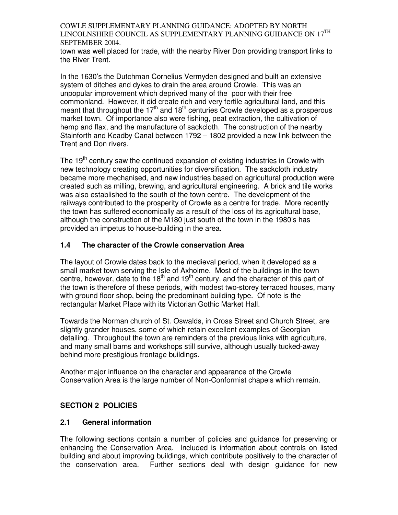town was well placed for trade, with the nearby River Don providing transport links to the River Trent.

In the 1630's the Dutchman Cornelius Vermyden designed and built an extensive system of ditches and dykes to drain the area around Crowle. This was an unpopular improvement which deprived many of the poor with their free commonland. However, it did create rich and very fertile agricultural land, and this meant that throughout the 17<sup>th</sup> and 18<sup>th</sup> centuries Crowle developed as a prosperous market town. Of importance also were fishing, peat extraction, the cultivation of hemp and flax, and the manufacture of sackcloth. The construction of the nearby Stainforth and Keadby Canal between 1792 – 1802 provided a new link between the Trent and Don rivers.

The 19<sup>th</sup> century saw the continued expansion of existing industries in Crowle with new technology creating opportunities for diversification. The sackcloth industry became more mechanised, and new industries based on agricultural production were created such as milling, brewing, and agricultural engineering. A brick and tile works was also established to the south of the town centre. The development of the railways contributed to the prosperity of Crowle as a centre for trade. More recently the town has suffered economically as a result of the loss of its agricultural base, although the construction of the M180 just south of the town in the 1980's has provided an impetus to house-building in the area.

## **1.4 The character of the Crowle conservation Area**

The layout of Crowle dates back to the medieval period, when it developed as a small market town serving the Isle of Axholme. Most of the buildings in the town centre, however, date to the  $18<sup>th</sup>$  and  $19<sup>th</sup>$  century, and the character of this part of the town is therefore of these periods, with modest two-storey terraced houses, many with ground floor shop, being the predominant building type. Of note is the rectangular Market Place with its Victorian Gothic Market Hall.

Towards the Norman church of St. Oswalds, in Cross Street and Church Street, are slightly grander houses, some of which retain excellent examples of Georgian detailing. Throughout the town are reminders of the previous links with agriculture, and many small barns and workshops still survive, although usually tucked-away behind more prestigious frontage buildings.

Another major influence on the character and appearance of the Crowle Conservation Area is the large number of Non-Conformist chapels which remain.

## **SECTION 2 POLICIES**

## **2.1 General information**

The following sections contain a number of policies and guidance for preserving or enhancing the Conservation Area. Included is information about controls on listed building and about improving buildings, which contribute positively to the character of the conservation area. Further sections deal with design guidance for new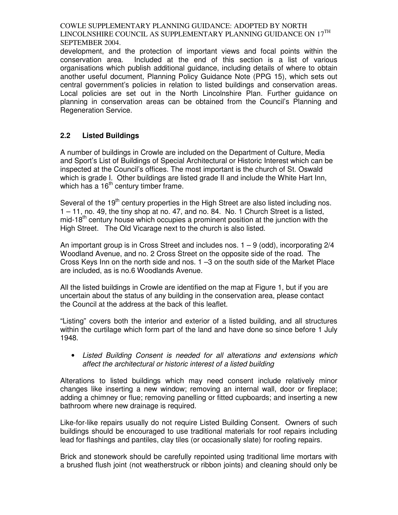development, and the protection of important views and focal points within the conservation area. Included at the end of this section is a list of various organisations which publish additional guidance, including details of where to obtain another useful document, Planning Policy Guidance Note (PPG 15), which sets out central government's policies in relation to listed buildings and conservation areas. Local policies are set out in the North Lincolnshire Plan. Further guidance on planning in conservation areas can be obtained from the Council's Planning and Regeneration Service.

## **2.2 Listed Buildings**

A number of buildings in Crowle are included on the Department of Culture, Media and Sport's List of Buildings of Special Architectural or Historic Interest which can be inspected at the Council's offices. The most important is the church of St. Oswald which is grade I. Other buildings are listed grade II and include the White Hart Inn, which has a  $16<sup>th</sup>$  century timber frame.

Several of the 19<sup>th</sup> century properties in the High Street are also listed including nos. 1 – 11, no. 49, the tiny shop at no. 47, and no. 84. No. 1 Church Street is a listed, mid-18<sup>th</sup> century house which occupies a prominent position at the junction with the High Street. The Old Vicarage next to the church is also listed.

An important group is in Cross Street and includes nos. 1 – 9 (odd), incorporating 2/4 Woodland Avenue, and no. 2 Cross Street on the opposite side of the road. The Cross Keys Inn on the north side and nos. 1 –3 on the south side of the Market Place are included, as is no.6 Woodlands Avenue.

All the listed buildings in Crowle are identified on the map at Figure 1, but if you are uncertain about the status of any building in the conservation area, please contact the Council at the address at the back of this leaflet.

"Listing" covers both the interior and exterior of a listed building, and all structures within the curtilage which form part of the land and have done so since before 1 July 1948.

• Listed Building Consent is needed for all alterations and extensions which affect the architectural or historic interest of a listed building

Alterations to listed buildings which may need consent include relatively minor changes like inserting a new window; removing an internal wall, door or fireplace; adding a chimney or flue; removing panelling or fitted cupboards; and inserting a new bathroom where new drainage is required.

Like-for-like repairs usually do not require Listed Building Consent. Owners of such buildings should be encouraged to use traditional materials for roof repairs including lead for flashings and pantiles, clay tiles (or occasionally slate) for roofing repairs.

Brick and stonework should be carefully repointed using traditional lime mortars with a brushed flush joint (not weatherstruck or ribbon joints) and cleaning should only be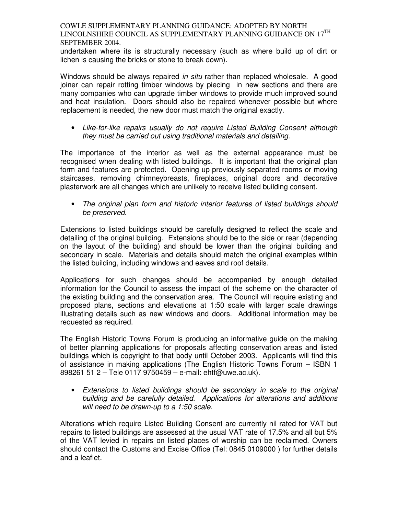undertaken where its is structurally necessary (such as where build up of dirt or lichen is causing the bricks or stone to break down).

Windows should be always repaired in situ rather than replaced wholesale. A good joiner can repair rotting timber windows by piecing in new sections and there are many companies who can upgrade timber windows to provide much improved sound and heat insulation. Doors should also be repaired whenever possible but where replacement is needed, the new door must match the original exactly.

• Like-for-like repairs usually do not require Listed Building Consent although they must be carried out using traditional materials and detailing.

The importance of the interior as well as the external appearance must be recognised when dealing with listed buildings. It is important that the original plan form and features are protected. Opening up previously separated rooms or moving staircases, removing chimneybreasts, fireplaces, original doors and decorative plasterwork are all changes which are unlikely to receive listed building consent.

• The original plan form and historic interior features of listed buildings should be preserved.

Extensions to listed buildings should be carefully designed to reflect the scale and detailing of the original building. Extensions should be to the side or rear (depending on the layout of the building) and should be lower than the original building and secondary in scale. Materials and details should match the original examples within the listed building, including windows and eaves and roof details.

Applications for such changes should be accompanied by enough detailed information for the Council to assess the impact of the scheme on the character of the existing building and the conservation area. The Council will require existing and proposed plans, sections and elevations at 1:50 scale with larger scale drawings illustrating details such as new windows and doors. Additional information may be requested as required.

The English Historic Towns Forum is producing an informative guide on the making of better planning applications for proposals affecting conservation areas and listed buildings which is copyright to that body until October 2003. Applicants will find this of assistance in making applications (The English Historic Towns Forum – ISBN 1 898261 51 2 – Tele 0117 9750459 – e-mail: ehtf@uwe.ac.uk).

• Extensions to listed buildings should be secondary in scale to the original building and be carefully detailed. Applications for alterations and additions will need to be drawn-up to a 1:50 scale.

Alterations which require Listed Building Consent are currently nil rated for VAT but repairs to listed buildings are assessed at the usual VAT rate of 17.5% and all but 5% of the VAT levied in repairs on listed places of worship can be reclaimed. Owners should contact the Customs and Excise Office (Tel: 0845 0109000 ) for further details and a leaflet.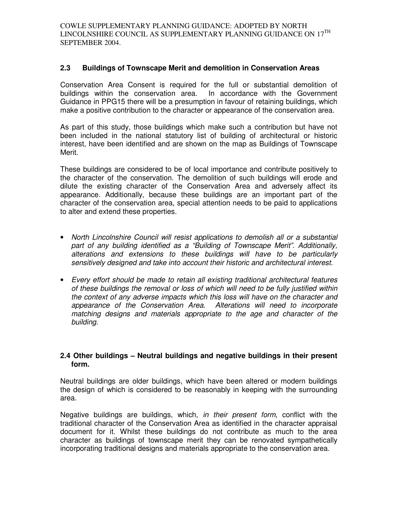## **2.3 Buildings of Townscape Merit and demolition in Conservation Areas**

Conservation Area Consent is required for the full or substantial demolition of buildings within the conservation area. In accordance with the Government Guidance in PPG15 there will be a presumption in favour of retaining buildings, which make a positive contribution to the character or appearance of the conservation area.

As part of this study, those buildings which make such a contribution but have not been included in the national statutory list of building of architectural or historic interest, have been identified and are shown on the map as Buildings of Townscape Merit.

These buildings are considered to be of local importance and contribute positively to the character of the conservation. The demolition of such buildings will erode and dilute the existing character of the Conservation Area and adversely affect its appearance. Additionally, because these buildings are an important part of the character of the conservation area, special attention needs to be paid to applications to alter and extend these properties.

- North Lincolnshire Council will resist applications to demolish all or a substantial part of any building identified as a "Building of Townscape Merit". Additionally, alterations and extensions to these buildings will have to be particularly sensitively designed and take into account their historic and architectural interest.
- Every effort should be made to retain all existing traditional architectural features of these buildings the removal or loss of which will need to be fully justified within the context of any adverse impacts which this loss will have on the character and appearance of the Conservation Area. Alterations will need to incorporate matching designs and materials appropriate to the age and character of the building.

## **2.4 Other buildings – Neutral buildings and negative buildings in their present form.**

Neutral buildings are older buildings, which have been altered or modern buildings the design of which is considered to be reasonably in keeping with the surrounding area.

Negative buildings are buildings, which, in their present form, conflict with the traditional character of the Conservation Area as identified in the character appraisal document for it. Whilst these buildings do not contribute as much to the area character as buildings of townscape merit they can be renovated sympathetically incorporating traditional designs and materials appropriate to the conservation area.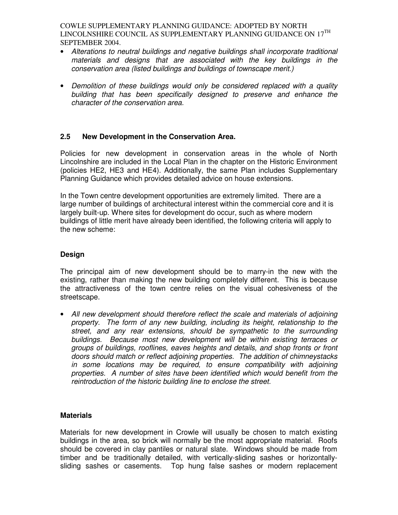- Alterations to neutral buildings and negative buildings shall incorporate traditional materials and designs that are associated with the key buildings in the conservation area (listed buildings and buildings of townscape merit.)
- Demolition of these buildings would only be considered replaced with a quality building that has been specifically designed to preserve and enhance the character of the conservation area.

## **2.5 New Development in the Conservation Area.**

Policies for new development in conservation areas in the whole of North Lincolnshire are included in the Local Plan in the chapter on the Historic Environment (policies HE2, HE3 and HE4). Additionally, the same Plan includes Supplementary Planning Guidance which provides detailed advice on house extensions.

In the Town centre development opportunities are extremely limited. There are a large number of buildings of architectural interest within the commercial core and it is largely built-up. Where sites for development do occur, such as where modern buildings of little merit have already been identified, the following criteria will apply to the new scheme:

## **Design**

The principal aim of new development should be to marry-in the new with the existing, rather than making the new building completely different. This is because the attractiveness of the town centre relies on the visual cohesiveness of the streetscape.

• All new development should therefore reflect the scale and materials of adjoining property. The form of any new building, including its height, relationship to the street, and any rear extensions, should be sympathetic to the surrounding buildings. Because most new development will be within existing terraces or groups of buildings, rooflines, eaves heights and details, and shop fronts or front doors should match or reflect adjoining properties. The addition of chimneystacks in some locations may be required, to ensure compatibility with adjoining properties. A number of sites have been identified which would benefit from the reintroduction of the historic building line to enclose the street.

## **Materials**

Materials for new development in Crowle will usually be chosen to match existing buildings in the area, so brick will normally be the most appropriate material. Roofs should be covered in clay pantiles or natural slate. Windows should be made from timber and be traditionally detailed, with vertically-sliding sashes or horizontallysliding sashes or casements. Top hung false sashes or modern replacement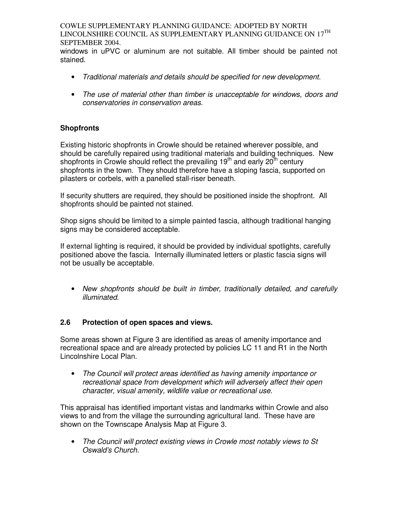windows in uPVC or aluminum are not suitable. All timber should be painted not stained.

- Traditional materials and details should be specified for new development.
- The use of material other than timber is unacceptable for windows, doors and conservatories in conservation areas.

## **Shopfronts**

Existing historic shopfronts in Crowle should be retained wherever possible, and should be carefully repaired using traditional materials and building techniques. New shopfronts in Crowle should reflect the prevailing  $19<sup>th</sup>$  and early  $20<sup>th</sup>$  century shopfronts in the town. They should therefore have a sloping fascia, supported on pilasters or corbels, with a panelled stall-riser beneath.

If security shutters are required, they should be positioned inside the shopfront. All shopfronts should be painted not stained.

Shop signs should be limited to a simple painted fascia, although traditional hanging signs may be considered acceptable.

If external lighting is required, it should be provided by individual spotlights, carefully positioned above the fascia. Internally illuminated letters or plastic fascia signs will not be usually be acceptable.

• New shopfronts should be built in timber, traditionally detailed, and carefully illuminated.

## **2.6 Protection of open spaces and views.**

Some areas shown at Figure 3 are identified as areas of amenity importance and recreational space and are already protected by policies LC 11 and R1 in the North Lincolnshire Local Plan.

• The Council will protect areas identified as having amenity importance or recreational space from development which will adversely affect their open character, visual amenity, wildlife value or recreational use.

This appraisal has identified important vistas and landmarks within Crowle and also views to and from the village the surrounding agricultural land. These have are shown on the Townscape Analysis Map at Figure 3.

• The Council will protect existing views in Crowle most notably views to St Oswald's Church.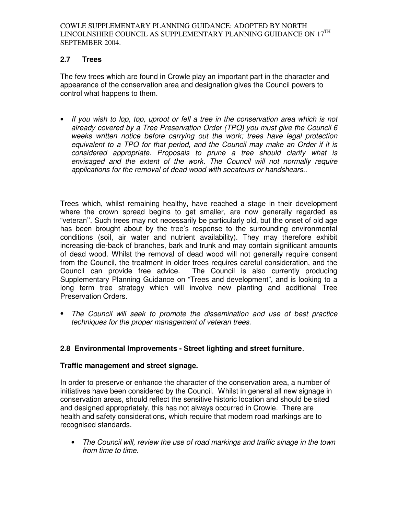## **2.7 Trees**

The few trees which are found in Crowle play an important part in the character and appearance of the conservation area and designation gives the Council powers to control what happens to them.

• If you wish to lop, top, uproot or fell a tree in the conservation area which is not already covered by a Tree Preservation Order (TPO) you must give the Council 6 weeks written notice before carrying out the work; trees have legal protection equivalent to a TPO for that period, and the Council may make an Order if it is considered appropriate. Proposals to prune a tree should clarify what is envisaged and the extent of the work. The Council will not normally require applications for the removal of dead wood with secateurs or handshears..

Trees which, whilst remaining healthy, have reached a stage in their development where the crown spread begins to get smaller, are now generally regarded as "veteran''. Such trees may not necessarily be particularly old, but the onset of old age has been brought about by the tree's response to the surrounding environmental conditions (soil, air water and nutrient availability). They may therefore exhibit increasing die-back of branches, bark and trunk and may contain significant amounts of dead wood. Whilst the removal of dead wood will not generally require consent from the Council, the treatment in older trees requires careful consideration, and the Council can provide free advice. The Council is also currently producing Supplementary Planning Guidance on "Trees and development", and is looking to a long term tree strategy which will involve new planting and additional Tree Preservation Orders.

• The Council will seek to promote the dissemination and use of best practice techniques for the proper management of veteran trees.

## **2.8 Environmental Improvements - Street lighting and street furniture**.

## **Traffic management and street signage.**

In order to preserve or enhance the character of the conservation area, a number of initiatives have been considered by the Council. Whilst in general all new signage in conservation areas, should reflect the sensitive historic location and should be sited and designed appropriately, this has not always occurred in Crowle. There are health and safety considerations, which require that modern road markings are to recognised standards.

• The Council will, review the use of road markings and traffic sinage in the town from time to time.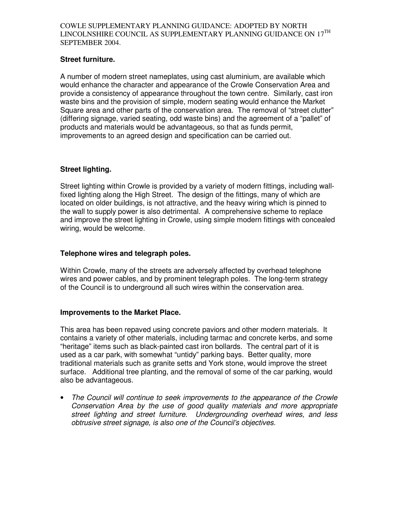## **Street furniture.**

A number of modern street nameplates, using cast aluminium, are available which would enhance the character and appearance of the Crowle Conservation Area and provide a consistency of appearance throughout the town centre. Similarly, cast iron waste bins and the provision of simple, modern seating would enhance the Market Square area and other parts of the conservation area. The removal of "street clutter" (differing signage, varied seating, odd waste bins) and the agreement of a "pallet" of products and materials would be advantageous, so that as funds permit, improvements to an agreed design and specification can be carried out.

## **Street lighting.**

Street lighting within Crowle is provided by a variety of modern fittings, including wallfixed lighting along the High Street. The design of the fittings, many of which are located on older buildings, is not attractive, and the heavy wiring which is pinned to the wall to supply power is also detrimental. A comprehensive scheme to replace and improve the street lighting in Crowle, using simple modern fittings with concealed wiring, would be welcome.

## **Telephone wires and telegraph poles.**

Within Crowle, many of the streets are adversely affected by overhead telephone wires and power cables, and by prominent telegraph poles. The long-term strategy of the Council is to underground all such wires within the conservation area.

## **Improvements to the Market Place.**

This area has been repaved using concrete paviors and other modern materials. It contains a variety of other materials, including tarmac and concrete kerbs, and some "heritage" items such as black-painted cast iron bollards. The central part of it is used as a car park, with somewhat "untidy" parking bays. Better quality, more traditional materials such as granite setts and York stone, would improve the street surface. Additional tree planting, and the removal of some of the car parking, would also be advantageous.

• The Council will continue to seek improvements to the appearance of the Crowle Conservation Area by the use of good quality materials and more appropriate street lighting and street furniture. Undergrounding overhead wires, and less obtrusive street signage, is also one of the Council's objectives.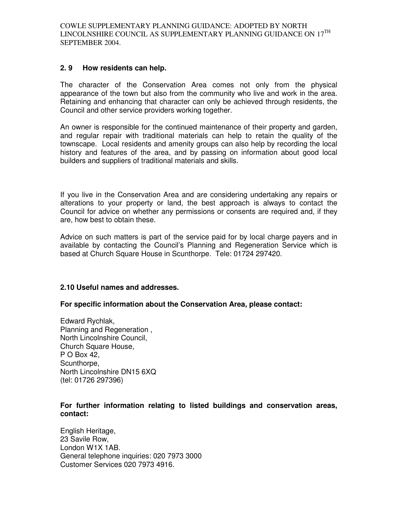## **2. 9 How residents can help.**

The character of the Conservation Area comes not only from the physical appearance of the town but also from the community who live and work in the area. Retaining and enhancing that character can only be achieved through residents, the Council and other service providers working together.

An owner is responsible for the continued maintenance of their property and garden, and regular repair with traditional materials can help to retain the quality of the townscape. Local residents and amenity groups can also help by recording the local history and features of the area, and by passing on information about good local builders and suppliers of traditional materials and skills.

If you live in the Conservation Area and are considering undertaking any repairs or alterations to your property or land, the best approach is always to contact the Council for advice on whether any permissions or consents are required and, if they are, how best to obtain these.

Advice on such matters is part of the service paid for by local charge payers and in available by contacting the Council's Planning and Regeneration Service which is based at Church Square House in Scunthorpe. Tele: 01724 297420.

## **2.10 Useful names and addresses.**

## **For specific information about the Conservation Area, please contact:**

Edward Rychlak, Planning and Regeneration , North Lincolnshire Council, Church Square House, P O Box 42, Scunthorpe. North Lincolnshire DN15 6XQ (tel: 01726 297396)

## **For further information relating to listed buildings and conservation areas, contact:**

English Heritage, 23 Savile Row, London W1X 1AB. General telephone inquiries: 020 7973 3000 Customer Services 020 7973 4916.